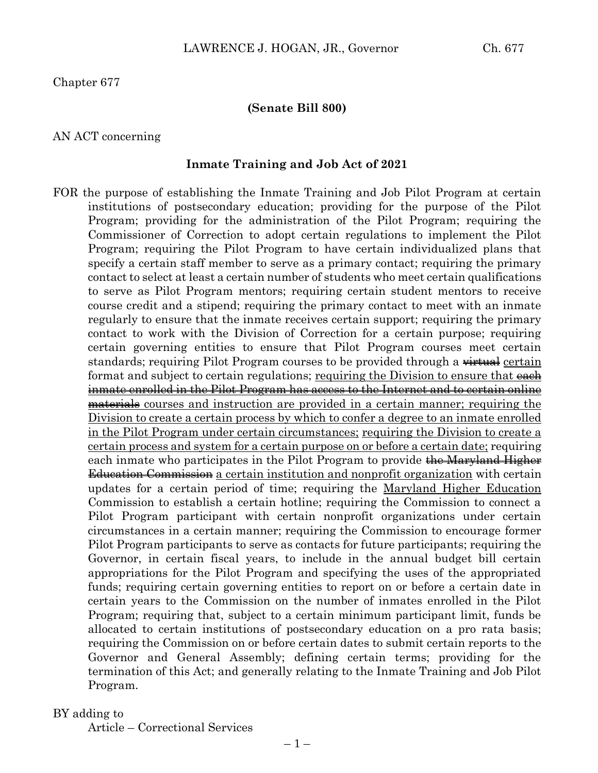Chapter 677

#### **(Senate Bill 800)**

#### AN ACT concerning

#### **Inmate Training and Job Act of 2021**

FOR the purpose of establishing the Inmate Training and Job Pilot Program at certain institutions of postsecondary education; providing for the purpose of the Pilot Program; providing for the administration of the Pilot Program; requiring the Commissioner of Correction to adopt certain regulations to implement the Pilot Program; requiring the Pilot Program to have certain individualized plans that specify a certain staff member to serve as a primary contact; requiring the primary contact to select at least a certain number of students who meet certain qualifications to serve as Pilot Program mentors; requiring certain student mentors to receive course credit and a stipend; requiring the primary contact to meet with an inmate regularly to ensure that the inmate receives certain support; requiring the primary contact to work with the Division of Correction for a certain purpose; requiring certain governing entities to ensure that Pilot Program courses meet certain standards; requiring Pilot Program courses to be provided through a <del>virtual</del> certain format and subject to certain regulations; requiring the Division to ensure that  $\frac{ee}{He}$ inmate enrolled in the Pilot Program has access to the Internet and to certain online materials courses and instruction are provided in a certain manner; requiring the Division to create a certain process by which to confer a degree to an inmate enrolled in the Pilot Program under certain circumstances; requiring the Division to create a certain process and system for a certain purpose on or before a certain date; requiring each inmate who participates in the Pilot Program to provide the Maryland Higher Education Commission a certain institution and nonprofit organization with certain updates for a certain period of time; requiring the Maryland Higher Education Commission to establish a certain hotline; requiring the Commission to connect a Pilot Program participant with certain nonprofit organizations under certain circumstances in a certain manner; requiring the Commission to encourage former Pilot Program participants to serve as contacts for future participants; requiring the Governor, in certain fiscal years, to include in the annual budget bill certain appropriations for the Pilot Program and specifying the uses of the appropriated funds; requiring certain governing entities to report on or before a certain date in certain years to the Commission on the number of inmates enrolled in the Pilot Program; requiring that, subject to a certain minimum participant limit, funds be allocated to certain institutions of postsecondary education on a pro rata basis; requiring the Commission on or before certain dates to submit certain reports to the Governor and General Assembly; defining certain terms; providing for the termination of this Act; and generally relating to the Inmate Training and Job Pilot Program.

#### BY adding to

Article – Correctional Services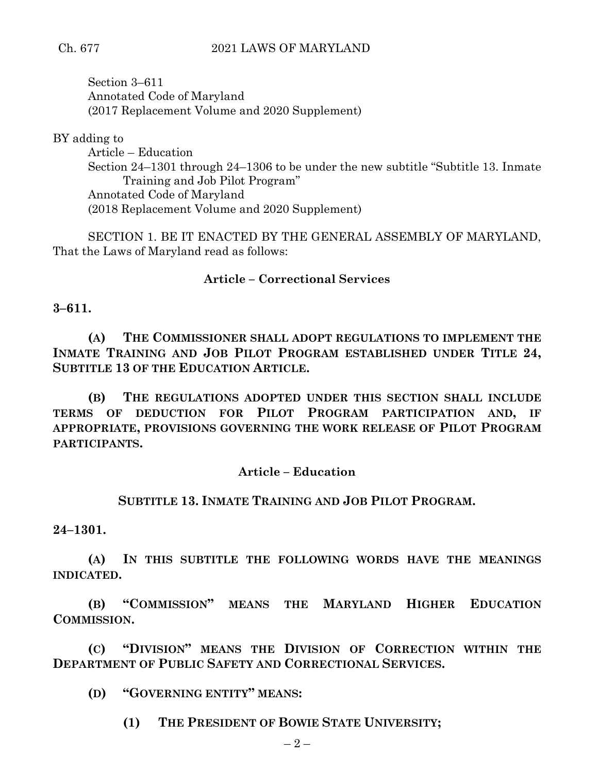## Ch. 677 2021 LAWS OF MARYLAND

Section 3–611 Annotated Code of Maryland (2017 Replacement Volume and 2020 Supplement)

BY adding to

Article – Education Section 24–1301 through 24–1306 to be under the new subtitle "Subtitle 13. Inmate Training and Job Pilot Program" Annotated Code of Maryland (2018 Replacement Volume and 2020 Supplement)

SECTION 1. BE IT ENACTED BY THE GENERAL ASSEMBLY OF MARYLAND, That the Laws of Maryland read as follows:

# **Article – Correctional Services**

**3–611.**

**(A) THE COMMISSIONER SHALL ADOPT REGULATIONS TO IMPLEMENT THE INMATE TRAINING AND JOB PILOT PROGRAM ESTABLISHED UNDER TITLE 24, SUBTITLE 13 OF THE EDUCATION ARTICLE.**

**(B) THE REGULATIONS ADOPTED UNDER THIS SECTION SHALL INCLUDE TERMS OF DEDUCTION FOR PILOT PROGRAM PARTICIPATION AND, IF APPROPRIATE, PROVISIONS GOVERNING THE WORK RELEASE OF PILOT PROGRAM PARTICIPANTS.**

## **Article – Education**

## **SUBTITLE 13. INMATE TRAINING AND JOB PILOT PROGRAM.**

**24–1301.**

**(A) IN THIS SUBTITLE THE FOLLOWING WORDS HAVE THE MEANINGS INDICATED.**

**(B) "COMMISSION" MEANS THE MARYLAND HIGHER EDUCATION COMMISSION.**

**(C) "DIVISION" MEANS THE DIVISION OF CORRECTION WITHIN THE DEPARTMENT OF PUBLIC SAFETY AND CORRECTIONAL SERVICES.**

**(D) "GOVERNING ENTITY" MEANS:**

**(1) THE PRESIDENT OF BOWIE STATE UNIVERSITY;**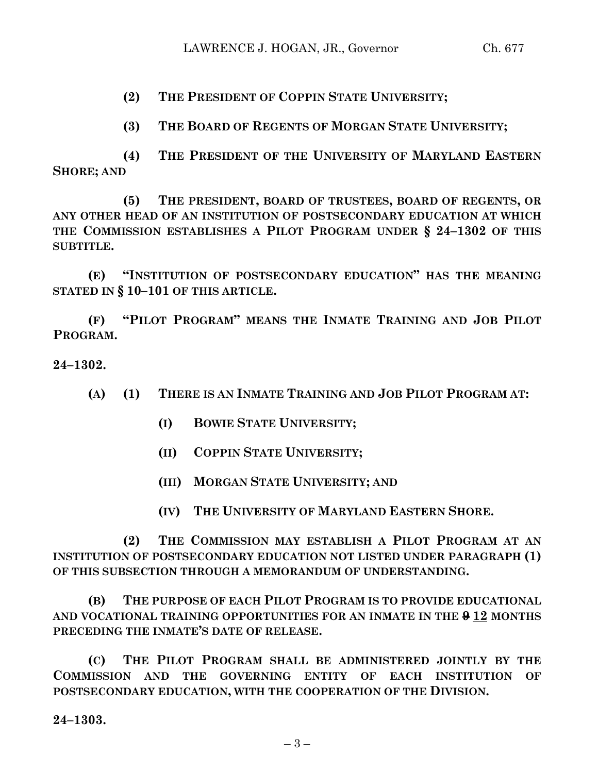**(2) THE PRESIDENT OF COPPIN STATE UNIVERSITY;**

**(3) THE BOARD OF REGENTS OF MORGAN STATE UNIVERSITY;**

**(4) THE PRESIDENT OF THE UNIVERSITY OF MARYLAND EASTERN SHORE; AND**

**(5) THE PRESIDENT, BOARD OF TRUSTEES, BOARD OF REGENTS, OR ANY OTHER HEAD OF AN INSTITUTION OF POSTSECONDARY EDUCATION AT WHICH THE COMMISSION ESTABLISHES A PILOT PROGRAM UNDER § 24–1302 OF THIS SUBTITLE.**

**(E) "INSTITUTION OF POSTSECONDARY EDUCATION" HAS THE MEANING STATED IN § 10–101 OF THIS ARTICLE.**

**(F) "PILOT PROGRAM" MEANS THE INMATE TRAINING AND JOB PILOT PROGRAM.**

**24–1302.**

- **(A) (1) THERE IS AN INMATE TRAINING AND JOB PILOT PROGRAM AT:**
	- **(I) BOWIE STATE UNIVERSITY;**
	- **(II) COPPIN STATE UNIVERSITY;**
	- **(III) MORGAN STATE UNIVERSITY; AND**
	- **(IV) THE UNIVERSITY OF MARYLAND EASTERN SHORE.**

**(2) THE COMMISSION MAY ESTABLISH A PILOT PROGRAM AT AN INSTITUTION OF POSTSECONDARY EDUCATION NOT LISTED UNDER PARAGRAPH (1) OF THIS SUBSECTION THROUGH A MEMORANDUM OF UNDERSTANDING.**

**(B) THE PURPOSE OF EACH PILOT PROGRAM IS TO PROVIDE EDUCATIONAL AND VOCATIONAL TRAINING OPPORTUNITIES FOR AN INMATE IN THE 9 12 MONTHS PRECEDING THE INMATE'S DATE OF RELEASE.**

**(C) THE PILOT PROGRAM SHALL BE ADMINISTERED JOINTLY BY THE COMMISSION AND THE GOVERNING ENTITY OF EACH INSTITUTION OF POSTSECONDARY EDUCATION, WITH THE COOPERATION OF THE DIVISION.**

**24–1303.**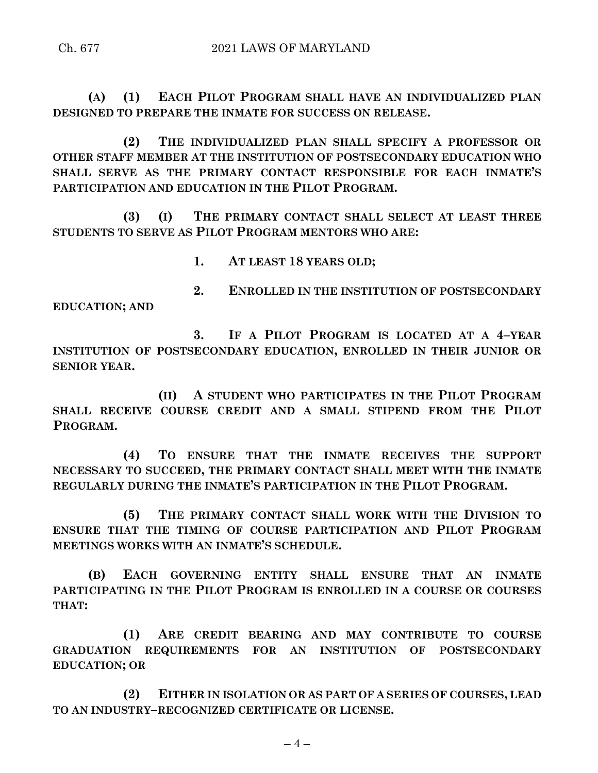**(A) (1) EACH PILOT PROGRAM SHALL HAVE AN INDIVIDUALIZED PLAN DESIGNED TO PREPARE THE INMATE FOR SUCCESS ON RELEASE.**

**(2) THE INDIVIDUALIZED PLAN SHALL SPECIFY A PROFESSOR OR OTHER STAFF MEMBER AT THE INSTITUTION OF POSTSECONDARY EDUCATION WHO SHALL SERVE AS THE PRIMARY CONTACT RESPONSIBLE FOR EACH INMATE'S PARTICIPATION AND EDUCATION IN THE PILOT PROGRAM.**

**(3) (I) THE PRIMARY CONTACT SHALL SELECT AT LEAST THREE STUDENTS TO SERVE AS PILOT PROGRAM MENTORS WHO ARE:**

**1. AT LEAST 18 YEARS OLD;**

**EDUCATION; AND**

**3. IF A PILOT PROGRAM IS LOCATED AT A 4–YEAR INSTITUTION OF POSTSECONDARY EDUCATION, ENROLLED IN THEIR JUNIOR OR SENIOR YEAR.**

**2. ENROLLED IN THE INSTITUTION OF POSTSECONDARY** 

**(II) A STUDENT WHO PARTICIPATES IN THE PILOT PROGRAM SHALL RECEIVE COURSE CREDIT AND A SMALL STIPEND FROM THE PILOT PROGRAM.**

**(4) TO ENSURE THAT THE INMATE RECEIVES THE SUPPORT NECESSARY TO SUCCEED, THE PRIMARY CONTACT SHALL MEET WITH THE INMATE REGULARLY DURING THE INMATE'S PARTICIPATION IN THE PILOT PROGRAM.**

**(5) THE PRIMARY CONTACT SHALL WORK WITH THE DIVISION TO ENSURE THAT THE TIMING OF COURSE PARTICIPATION AND PILOT PROGRAM MEETINGS WORKS WITH AN INMATE'S SCHEDULE.**

**(B) EACH GOVERNING ENTITY SHALL ENSURE THAT AN INMATE PARTICIPATING IN THE PILOT PROGRAM IS ENROLLED IN A COURSE OR COURSES THAT:**

**(1) ARE CREDIT BEARING AND MAY CONTRIBUTE TO COURSE GRADUATION REQUIREMENTS FOR AN INSTITUTION OF POSTSECONDARY EDUCATION; OR**

**(2) EITHER IN ISOLATION OR AS PART OF A SERIES OF COURSES, LEAD TO AN INDUSTRY–RECOGNIZED CERTIFICATE OR LICENSE.**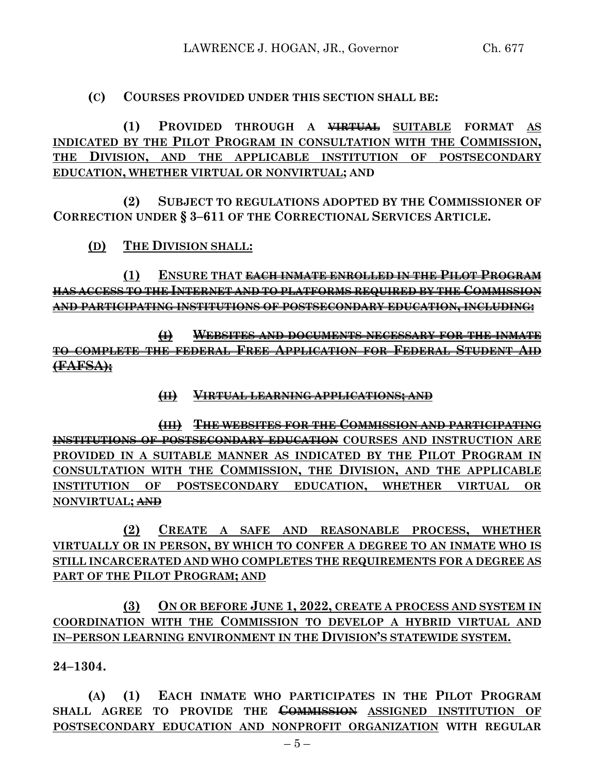# **(C) COURSES PROVIDED UNDER THIS SECTION SHALL BE:**

**(1) PROVIDED THROUGH A VIRTUAL SUITABLE FORMAT AS INDICATED BY THE PILOT PROGRAM IN CONSULTATION WITH THE COMMISSION, THE DIVISION, AND THE APPLICABLE INSTITUTION OF POSTSECONDARY EDUCATION, WHETHER VIRTUAL OR NONVIRTUAL; AND**

**(2) SUBJECT TO REGULATIONS ADOPTED BY THE COMMISSIONER OF CORRECTION UNDER § 3–611 OF THE CORRECTIONAL SERVICES ARTICLE.**

**(D) THE DIVISION SHALL:**

**(1) ENSURE THAT EACH INMATE ENROLLED IN THE PILOT PROGRAM HAS ACCESS TO THE INTERNET AND TO PLATFORMS REQUIRED BY THE COMMISSION AND PARTICIPATING INSTITUTIONS OF POSTSECONDARY EDUCATION, INCLUDING:**

**(I) WEBSITES AND DOCUMENTS NECESSARY FOR THE INMATE TO COMPLETE THE FEDERAL FREE APPLICATION FOR FEDERAL STUDENT AID (FAFSA);**

## **(II) VIRTUAL LEARNING APPLICATIONS; AND**

**(III) THE WEBSITES FOR THE COMMISSION AND PARTICIPATING INSTITUTIONS OF POSTSECONDARY EDUCATION COURSES AND INSTRUCTION ARE PROVIDED IN A SUITABLE MANNER AS INDICATED BY THE PILOT PROGRAM IN CONSULTATION WITH THE COMMISSION, THE DIVISION, AND THE APPLICABLE INSTITUTION OF POSTSECONDARY EDUCATION, WHETHER VIRTUAL OR NONVIRTUAL; AND**

**(2) CREATE A SAFE AND REASONABLE PROCESS, WHETHER VIRTUALLY OR IN PERSON, BY WHICH TO CONFER A DEGREE TO AN INMATE WHO IS STILL INCARCERATED AND WHO COMPLETES THE REQUIREMENTS FOR A DEGREE AS PART OF THE PILOT PROGRAM; AND**

**(3) ON OR BEFORE JUNE 1, 2022, CREATE A PROCESS AND SYSTEM IN COORDINATION WITH THE COMMISSION TO DEVELOP A HYBRID VIRTUAL AND IN–PERSON LEARNING ENVIRONMENT IN THE DIVISION'S STATEWIDE SYSTEM.**

**24–1304.**

**(A) (1) EACH INMATE WHO PARTICIPATES IN THE PILOT PROGRAM SHALL AGREE TO PROVIDE THE COMMISSION ASSIGNED INSTITUTION OF POSTSECONDARY EDUCATION AND NONPROFIT ORGANIZATION WITH REGULAR**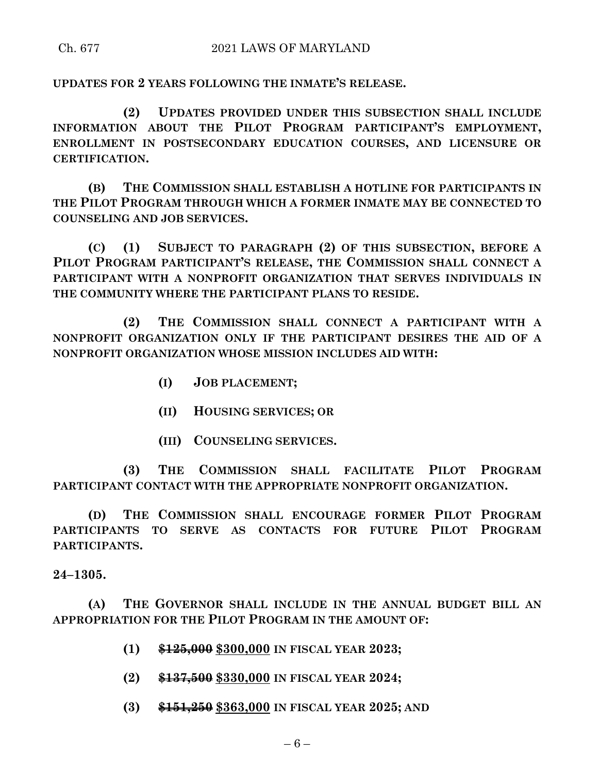**UPDATES FOR 2 YEARS FOLLOWING THE INMATE'S RELEASE.**

**(2) UPDATES PROVIDED UNDER THIS SUBSECTION SHALL INCLUDE INFORMATION ABOUT THE PILOT PROGRAM PARTICIPANT'S EMPLOYMENT, ENROLLMENT IN POSTSECONDARY EDUCATION COURSES, AND LICENSURE OR CERTIFICATION.**

**(B) THE COMMISSION SHALL ESTABLISH A HOTLINE FOR PARTICIPANTS IN THE PILOT PROGRAM THROUGH WHICH A FORMER INMATE MAY BE CONNECTED TO COUNSELING AND JOB SERVICES.**

**(C) (1) SUBJECT TO PARAGRAPH (2) OF THIS SUBSECTION, BEFORE A PILOT PROGRAM PARTICIPANT'S RELEASE, THE COMMISSION SHALL CONNECT A PARTICIPANT WITH A NONPROFIT ORGANIZATION THAT SERVES INDIVIDUALS IN THE COMMUNITY WHERE THE PARTICIPANT PLANS TO RESIDE.**

**(2) THE COMMISSION SHALL CONNECT A PARTICIPANT WITH A NONPROFIT ORGANIZATION ONLY IF THE PARTICIPANT DESIRES THE AID OF A NONPROFIT ORGANIZATION WHOSE MISSION INCLUDES AID WITH:**

- **(I) JOB PLACEMENT;**
- **(II) HOUSING SERVICES; OR**
- **(III) COUNSELING SERVICES.**

**(3) THE COMMISSION SHALL FACILITATE PILOT PROGRAM PARTICIPANT CONTACT WITH THE APPROPRIATE NONPROFIT ORGANIZATION.**

**(D) THE COMMISSION SHALL ENCOURAGE FORMER PILOT PROGRAM PARTICIPANTS TO SERVE AS CONTACTS FOR FUTURE PILOT PROGRAM PARTICIPANTS.**

**24–1305.**

**(A) THE GOVERNOR SHALL INCLUDE IN THE ANNUAL BUDGET BILL AN APPROPRIATION FOR THE PILOT PROGRAM IN THE AMOUNT OF:**

- **(1) \$125,000 \$300,000 IN FISCAL YEAR 2023;**
- **(2) \$137,500 \$330,000 IN FISCAL YEAR 2024;**
- **(3) \$151,250 \$363,000 IN FISCAL YEAR 2025; AND**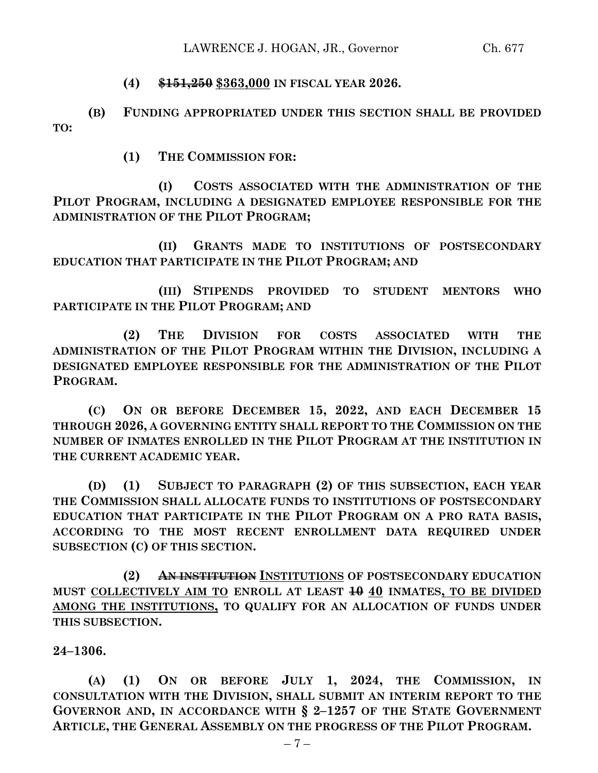# **(4) \$151,250 \$363,000 IN FISCAL YEAR 2026.**

**(B) FUNDING APPROPRIATED UNDER THIS SECTION SHALL BE PROVIDED TO:**

**(1) THE COMMISSION FOR:**

**(I) COSTS ASSOCIATED WITH THE ADMINISTRATION OF THE PILOT PROGRAM, INCLUDING A DESIGNATED EMPLOYEE RESPONSIBLE FOR THE ADMINISTRATION OF THE PILOT PROGRAM;**

**(II) GRANTS MADE TO INSTITUTIONS OF POSTSECONDARY EDUCATION THAT PARTICIPATE IN THE PILOT PROGRAM; AND**

**(III) STIPENDS PROVIDED TO STUDENT MENTORS WHO PARTICIPATE IN THE PILOT PROGRAM; AND**

**(2) THE DIVISION FOR COSTS ASSOCIATED WITH THE ADMINISTRATION OF THE PILOT PROGRAM WITHIN THE DIVISION, INCLUDING A DESIGNATED EMPLOYEE RESPONSIBLE FOR THE ADMINISTRATION OF THE PILOT PROGRAM.**

**(C) ON OR BEFORE DECEMBER 15, 2022, AND EACH DECEMBER 15 THROUGH 2026, A GOVERNING ENTITY SHALL REPORT TO THE COMMISSION ON THE NUMBER OF INMATES ENROLLED IN THE PILOT PROGRAM AT THE INSTITUTION IN THE CURRENT ACADEMIC YEAR.**

**(D) (1) SUBJECT TO PARAGRAPH (2) OF THIS SUBSECTION, EACH YEAR THE COMMISSION SHALL ALLOCATE FUNDS TO INSTITUTIONS OF POSTSECONDARY EDUCATION THAT PARTICIPATE IN THE PILOT PROGRAM ON A PRO RATA BASIS, ACCORDING TO THE MOST RECENT ENROLLMENT DATA REQUIRED UNDER SUBSECTION (C) OF THIS SECTION.**

**(2) AN INSTITUTION INSTITUTIONS OF POSTSECONDARY EDUCATION MUST COLLECTIVELY AIM TO ENROLL AT LEAST 10 40 INMATES, TO BE DIVIDED AMONG THE INSTITUTIONS, TO QUALIFY FOR AN ALLOCATION OF FUNDS UNDER THIS SUBSECTION.**

**24–1306.**

**(A) (1) ON OR BEFORE JULY 1, 2024, THE COMMISSION, IN CONSULTATION WITH THE DIVISION, SHALL SUBMIT AN INTERIM REPORT TO THE GOVERNOR AND, IN ACCORDANCE WITH § 2–1257 OF THE STATE GOVERNMENT ARTICLE, THE GENERAL ASSEMBLY ON THE PROGRESS OF THE PILOT PROGRAM.**